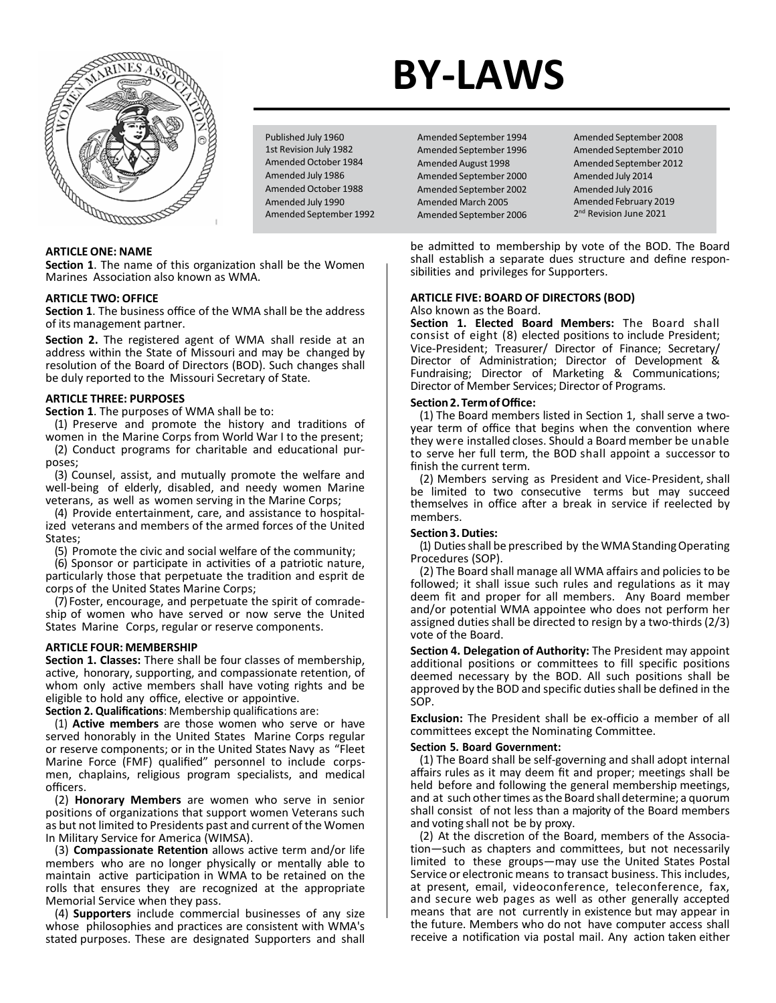

Published July 1960 1st Revision July 1982 Amended October 1984 Amended July 1986 Amended October 1988 Amended July 1990 Amended September 1992

**Section 1**. The name of this organization shall be the Women Marines Association also known as WMA.

#### **ARTICLE TWO: OFFICE**

**Section 1**. The business office of the WMA shall be the address of its management partner.

**Section 2.** The registered agent of WMA shall reside at an address within the State of Missouri and may be changed by resolution of the Board of Directors (BOD). Such changes shall be duly reported to the Missouri Secretary of State.

#### **ARTICLE THREE: PURPOSES**

**Section 1**. The purposes of WMA shall be to:

(1) Preserve and promote the history and traditions of women in the Marine Corps from World War I to the present;

(2) Conduct programs for charitable and educational purposes;

(3) Counsel, assist, and mutually promote the welfare and well-being of elderly, disabled, and needy women Marine veterans, as well as women serving in the Marine Corps;

(4) Provide entertainment, care, and assistance to hospitalized veterans and members of the armed forces of the United States;

(5) Promote the civic and social welfare of the community;

(6) Sponsor or participate in activities of a patriotic nature, particularly those that perpetuate the tradition and esprit de corps of the United States Marine Corps;

(7) Foster, encourage, and perpetuate the spirit of comradeship of women who have served or now serve the United States Marine Corps, regular or reserve components.

#### **ARTICLE FOUR: MEMBERSHIP**

**Section 1. Classes:** There shall be four classes of membership, active, honorary, supporting, and compassionate retention, of whom only active members shall have voting rights and be eligible to hold any office, elective or appointive.

**Section 2. Qualifications**: Membership qualifications are:

(1) **Active members** are those women who serve or have served honorably in the United States Marine Corps regular or reserve components; or in the United States Navy as "Fleet Marine Force (FMF) qualified" personnel to include corpsmen, chaplains, religious program specialists, and medical officers.

(2) **Honorary Members** are women who serve in senior positions of organizations that support women Veterans such as but not limited to Presidents past and current of the Women In Military Service for America (WIMSA).

(3) **Compassionate Retention** allows active term and/or life members who are no longer physically or mentally able to maintain active participation in WMA to be retained on the rolls that ensures they are recognized at the appropriate Memorial Service when they pass.

(4) **Supporters** include commercial businesses of any size whose philosophies and practices are consistent with WMA's stated purposes. These are designated Supporters and shall

# **BY-LAWS**

Amended September 1994 Amended September 1996 Amended August 1998 Amended September 2000 Amended September 2002 Amended March 2005 Amended September 2006 Amended September 2008 Amended September 2010 Amended September 2012 Amended July 2014 Amended July 2016 Amended February 2019 2<sup>nd</sup> Revision June 2021

be admitted to membership by vote of the BOD. The Board shall establish a separate dues structure and define responsibilities and privileges for Supporters.

#### **ARTICLE FIVE: BOARD OF DIRECTORS (BOD)**  Also known as the Board.

**Section 1. Elected Board Members:** The Board shall consist of eight (8) elected positions to include President; Vice-President; Treasurer/ Director of Finance; Secretary/ Director of Administration; Director of Development & Fundraising; Director of Marketing & Communications; Director of Member Services; Director of Programs.

#### **Section2.TermofOffice:**

(1) The Board members listed in Section 1, shall serve a twoyear term of office that begins when the convention where they were installed closes. Should a Board member be unable to serve her full term, the BOD shall appoint a successor to finish the current term.

(2) Members serving as President and Vice-President, shall be limited to two consecutive terms but may succeed themselves in office after a break in service if reelected by members.

#### **Section3.Duties:**

(1) Duties shall be prescribed by the WMA Standing Operating Procedures (SOP).

(2) The Board shall manage all WMA affairs and policies to be followed; it shall issue such rules and regulations as it may deem fit and proper for all members. Any Board member and/or potential WMA appointee who does not perform her assigned duties shall be directed to resign by a two-thirds (2/3) vote of the Board.

**Section 4. Delegation of Authority:** The President may appoint additional positions or committees to fill specific positions deemed necessary by the BOD. All such positions shall be approved by the BOD and specific duties shall be defined in the SOP.

**Exclusion:** The President shall be ex-officio a member of all committees except the Nominating Committee.

#### **Section 5. Board Government:**

(1) The Board shall be self-governing and shall adopt internal affairs rules as it may deem fit and proper; meetings shall be held before and following the general membership meetings, and at such other times as the Board shall determine; a quorum shall consist of not less than a majority of the Board members and voting shall not be by proxy.

(2) At the discretion of the Board, members of the Association—such as chapters and committees, but not necessarily limited to these groups—may use the United States Postal Service or electronic means to transact business. This includes, at present, email, videoconference, teleconference, fax, and secure web pages as well as other generally accepted means that are not currently in existence but may appear in the future. Members who do not have computer access shall receive a notification via postal mail. Any action taken either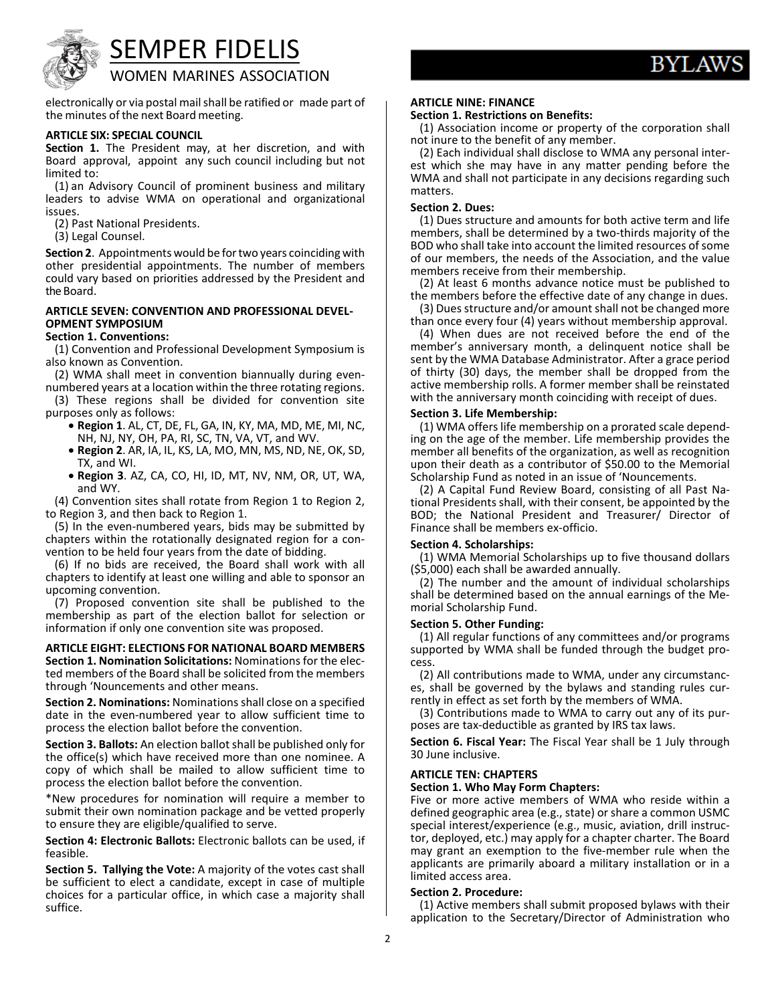

## SEMPER FIDELIS

### WOMEN MARINES ASSOCIATION

electronically or via postal mailshall be ratified or made part of the minutes of the next Board meeting.

#### **ARTICLE SIX: SPECIAL COUNCIL**

**Section 1.** The President may, at her discretion, and with Board approval, appoint any such council including but not limited to:

(1) an Advisory Council of prominent business and military leaders to advise WMA on operational and organizational issues.

(2) Past National Presidents.

(3) Legal Counsel.

**Section 2.** Appointments would be for two years coinciding with other presidential appointments. The number of members could vary based on priorities addressed by the President and the Board.

#### **ARTICLE SEVEN: CONVENTION AND PROFESSIONAL DEVEL-OPMENT SYMPOSIUM**

#### **Section 1. Conventions:**

(1) Convention and Professional Development Symposium is also known as Convention.

(2) WMA shall meet in convention biannually during evennumbered years at a location within the three rotating regions.

(3) These regions shall be divided for convention site

- purposes only as follows: **Region 1**. AL, CT, DE, FL, GA, IN, KY, MA, MD, ME, MI, NC,
	- NH, NJ, NY, OH, PA, RI, SC, TN, VA, VT, and WV. **Region 2**. AR, IA, IL, KS, LA, MO, MN, MS, ND, NE, OK, SD, TX, and WI.
	- **Region 3**. AZ, CA, CO, HI, ID, MT, NV, NM, OR, UT, WA, and WY.

(4) Convention sites shall rotate from Region 1 to Region 2, to Region 3, and then back to Region 1.

(5) In the even-numbered years, bids may be submitted by chapters within the rotationally designated region for a convention to be held four years from the date of bidding.

(6) If no bids are received, the Board shall work with all chapters to identify at least one willing and able to sponsor an upcoming convention.

(7) Proposed convention site shall be published to the membership as part of the election ballot for selection or information if only one convention site was proposed.

**ARTICLE EIGHT: ELECTIONS FOR NATIONAL BOARD MEMBERS Section 1. Nomination Solicitations:** Nominations for the elected members of the Board shall be solicited from the members through 'Nouncements and other means.

**Section 2. Nominations:** Nominations shall close on a specified date in the even-numbered year to allow sufficient time to process the election ballot before the convention.

**Section 3. Ballots:** An election ballot shall be published only for the office(s) which have received more than one nominee. A copy of which shall be mailed to allow sufficient time to process the election ballot before the convention.

\*New procedures for nomination will require a member to submit their own nomination package and be vetted properly to ensure they are eligible/qualified to serve.

**Section 4: Electronic Ballots:** Electronic ballots can be used, if feasible.

**Section 5. Tallying the Vote:** A majority of the votes cast shall be sufficient to elect a candidate, except in case of multiple choices for a particular office, in which case a majority shall suffice.

#### **ARTICLE NINE: FINANCE**

#### **Section 1. Restrictions on Benefits:**

(1) Association income or property of the corporation shall not inure to the benefit of any member.<br>(2) Each individual shall disclose to WMA any personal inter-

est which she may have in any matter pending before the WMA and shall not participate in any decisions regarding such matters.

#### **Section 2. Dues:**

(1) Dues structure and amounts for both active term and life members, shall be determined by a two-thirds majority of the BOD who shall take into account the limited resources of some of our members, the needs of the Association, and the value members receive from their membership.

(2) At least 6 months advance notice must be published to the members before the effective date of any change in dues.

(3) Dues structure and/or amount shall not be changed more than once every four (4) years without membership approval.

(4) When dues are not received before the end of the member's anniversary month, a delinquent notice shall be sent by the WMA Database Administrator. After a grace period of thirty (30) days, the member shall be dropped from the active membership rolls. A former member shall be reinstated with the anniversary month coinciding with receipt of dues.

**Section 3. Life Membership:**<br>(1) WMA offers life membership on a prorated scale depending on the age of the member. Life membership provides the member all benefits of the organization, as well as recognition upon their death as a contributor of \$50.00 to the Memorial Scholarship Fund as noted in an issue of 'Nouncements.

(2) A Capital Fund Review Board, consisting of all Past National Presidents shall, with their consent, be appointed by the BOD; the National President and Treasurer/ Director of Finance shall be members ex-officio.

#### **Section 4. Scholarships:**

(1) WMA Memorial Scholarships up to five thousand dollars (\$5,000) each shall be awarded annually.

(2) The number and the amount of individual scholarships shall be determined based on the annual earnings of the Me- morial Scholarship Fund.

#### **Section 5. Other Funding:**

(1) All regular functions of any committees and/or programs supported by WMA shall be funded through the budget process.<br>(2) All contributions made to WMA, under any circumstanc-

es, shall be governed by the bylaws and standing rules currently in effect as set forth by the members of WMA.

(3) Contributions made to WMA to carry out any of its pur poses are tax-deductible as granted by IRS tax laws.

**Section 6. Fiscal Year:** The Fiscal Year shall be 1 July through 30 June inclusive.

#### **ARTICLE TEN: CHAPTERS**

#### **Section 1. Who May Form Chapters:**

Five or more active members of WMA who reside within a defined geographic area (e.g., state) or share a common USMC<br>special interest/experience (e.g., music, aviation, drill instructor, deployed, etc.) may apply for a chapter charter. The Board may grant an exemption to the five-member rule when the applicants are primarily aboard a military installation or in a limited access area.

#### **Section 2. Procedure:**

(1) Active members shall submit proposed bylaws with their application to the Secretary/Director of Administration who